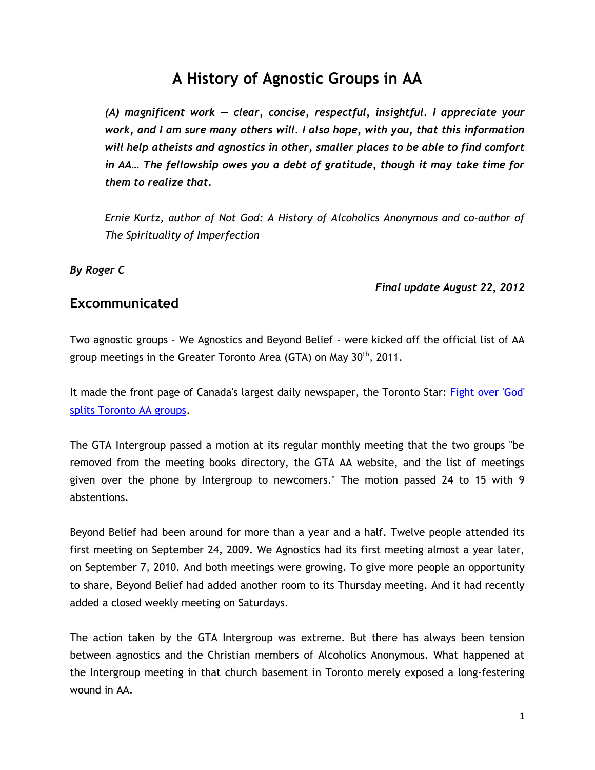# **A History of Agnostic Groups in AA**

*(A) magnificent work — clear, concise, respectful, insightful. I appreciate your work, and I am sure many others will. I also hope, with you, that this information will help atheists and agnostics in other, smaller places to be able to find comfort in AA… The fellowship owes you a debt of gratitude, though it may take time for them to realize that.*

*Ernie Kurtz, author of Not God: A History of Alcoholics Anonymous and co-author of The Spirituality of Imperfection*

*By Roger C*

#### *Final update August 22, 2012*

### **Excommunicated**

Two agnostic groups - We Agnostics and Beyond Belief - were kicked off the official list of AA group meetings in the Greater Toronto Area (GTA) on May  $30<sup>th</sup>$ , 2011.

It made the front page of Canada's largest daily newspaper, the Toronto Star: [Fight over 'God'](http://www.thestar.com/news/article/1002750--does-religion-belong-at-aa-fight-over-god-splits-toronto-aa-groups)  [splits Toronto AA groups.](http://www.thestar.com/news/article/1002750--does-religion-belong-at-aa-fight-over-god-splits-toronto-aa-groups)

The GTA Intergroup passed a motion at its regular monthly meeting that the two groups "be removed from the meeting books directory, the GTA AA website, and the list of meetings given over the phone by Intergroup to newcomers." The motion passed 24 to 15 with 9 abstentions.

Beyond Belief had been around for more than a year and a half. Twelve people attended its first meeting on September 24, 2009. We Agnostics had its first meeting almost a year later, on September 7, 2010. And both meetings were growing. To give more people an opportunity to share, Beyond Belief had added another room to its Thursday meeting. And it had recently added a closed weekly meeting on Saturdays.

The action taken by the GTA Intergroup was extreme. But there has always been tension between agnostics and the Christian members of Alcoholics Anonymous. What happened at the Intergroup meeting in that church basement in Toronto merely exposed a long-festering wound in AA.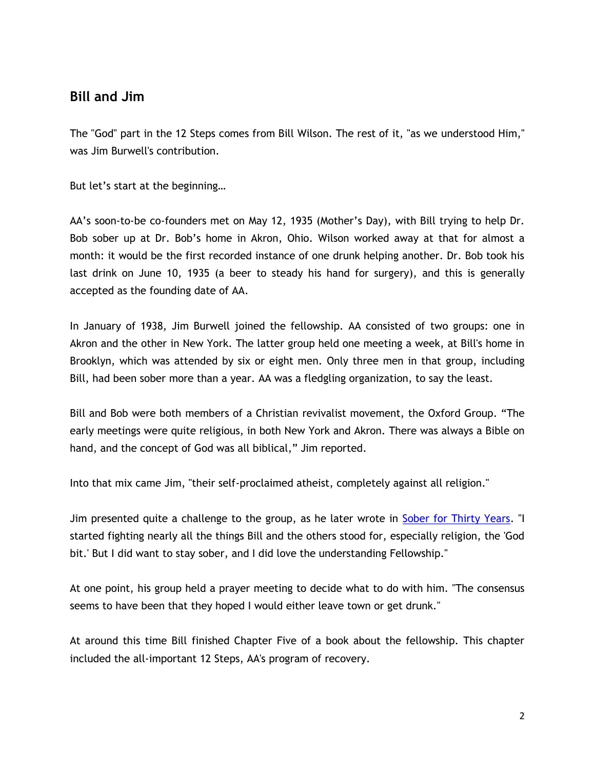### **Bill and Jim**

The "God" part in the 12 Steps comes from Bill Wilson. The rest of it, "as we understood Him," was Jim Burwell's contribution.

But let's start at the beginning…

AA's soon-to-be co-founders met on May 12, 1935 (Mother's Day), with Bill trying to help Dr. Bob sober up at Dr. Bob's home in Akron, Ohio. Wilson worked away at that for almost a month: it would be the first recorded instance of one drunk helping another. Dr. Bob took his last drink on June 10, 1935 (a beer to steady his hand for surgery), and this is generally accepted as the founding date of AA.

In January of 1938, Jim Burwell joined the fellowship. AA consisted of two groups: one in Akron and the other in New York. The latter group held one meeting a week, at Bill's home in Brooklyn, which was attended by six or eight men. Only three men in that group, including Bill, had been sober more than a year. AA was a fledgling organization, to say the least.

Bill and Bob were both members of a Christian revivalist movement, the Oxford Group. "The early meetings were quite religious, in both New York and Akron. There was always a Bible on hand, and the concept of God was all biblical," Jim reported.

Into that mix came Jim, "their self-proclaimed atheist, completely against all religion."

Jim presented quite a challenge to the group, as he later wrote in [Sober for Thirty Years.](http://aatorontoagnostics.files.wordpress.com/2011/07/sober-for-thirty-years.pdf) "I started fighting nearly all the things Bill and the others stood for, especially religion, the 'God bit.' But I did want to stay sober, and I did love the understanding Fellowship."

At one point, his group held a prayer meeting to decide what to do with him. "The consensus seems to have been that they hoped I would either leave town or get drunk."

At around this time Bill finished Chapter Five of a book about the fellowship. This chapter included the all-important 12 Steps, AA's program of recovery.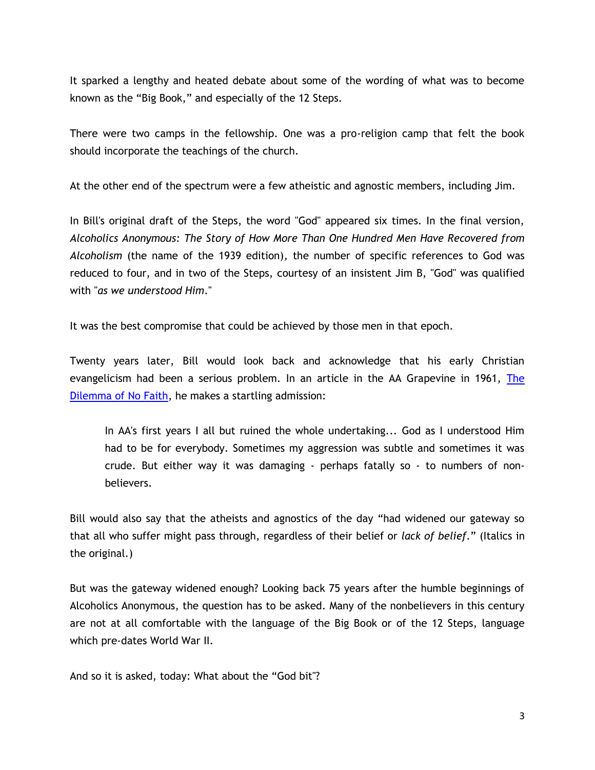It sparked a lengthy and heated debate about some of the wording of what was to become known as the "Big Book," and especially of the 12 Steps.

There were two camps in the fellowship. One was a pro-religion camp that felt the book should incorporate the teachings of the church.

At the other end of the spectrum were a few atheistic and agnostic members, including Jim.

In Bill's original draft of the Steps, the word "God" appeared six times. In the final version, *Alcoholics Anonymous: The Story of How More Than One Hundred Men Have Recovered from Alcoholism* (the name of the 1939 edition)*,* the number of specific references to God was reduced to four, and in two of the Steps, courtesy of an insistent Jim B, "God" was qualified with "*as we understood Him*."

It was the best compromise that could be achieved by those men in that epoch.

Twenty years later, Bill would look back and acknowledge that his early Christian evangelicism had been a serious problem. In an article in the AA Grapevine in 1961, [The](http://aatorontoagnostics.files.wordpress.com/2011/07/the-dilemma-of-no-faith.pdf)  [Dilemma of No Faith,](http://aatorontoagnostics.files.wordpress.com/2011/07/the-dilemma-of-no-faith.pdf) he makes a startling admission:

In AA's first years I all but ruined the whole undertaking... God as I understood Him had to be for everybody. Sometimes my aggression was subtle and sometimes it was crude. But either way it was damaging - perhaps fatally so - to numbers of nonbelievers.

Bill would also say that the atheists and agnostics of the day "had widened our gateway so that all who suffer might pass through, regardless of their belief or *lack of belief*." (Italics in the original.)

But was the gateway widened enough? Looking back 75 years after the humble beginnings of Alcoholics Anonymous, the question has to be asked. Many of the nonbelievers in this century are not at all comfortable with the language of the Big Book or of the 12 Steps, language which pre-dates World War II.

And so it is asked, today: What about the "God bit"?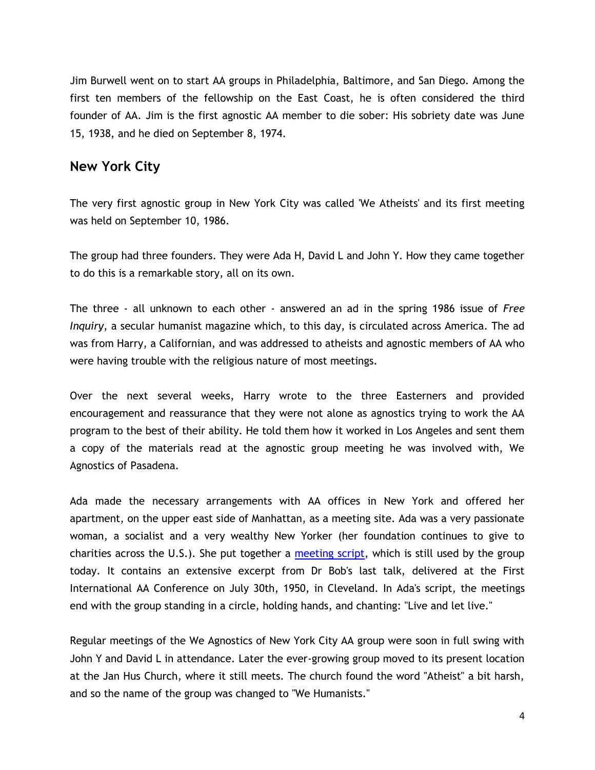Jim Burwell went on to start AA groups in Philadelphia, Baltimore, and San Diego. Among the first ten members of the fellowship on the East Coast, he is often considered the third founder of AA. Jim is the first agnostic AA member to die sober: His sobriety date was June 15, 1938, and he died on September 8, 1974.

### **New York City**

The very first agnostic group in New York City was called 'We Atheists' and its first meeting was held on September 10, 1986.

The group had three founders. They were Ada H, David L and John Y. How they came together to do this is a remarkable story, all on its own.

The three - all unknown to each other - answered an ad in the spring 1986 issue of *Free Inquiry*, a secular humanist magazine which, to this day, is circulated across America. The ad was from Harry, a Californian, and was addressed to atheists and agnostic members of AA who were having trouble with the religious nature of most meetings.

Over the next several weeks, Harry wrote to the three Easterners and provided encouragement and reassurance that they were not alone as agnostics trying to work the AA program to the best of their ability. He told them how it worked in Los Angeles and sent them a copy of the materials read at the agnostic group meeting he was involved with, We Agnostics of Pasadena.

Ada made the necessary arrangements with AA offices in New York and offered her apartment, on the upper east side of Manhattan, as a meeting site. Ada was a very passionate woman, a socialist and a very wealthy New Yorker (her foundation continues to give to charities across the U.S.). She put together a [meeting script,](http://aatorontoagnostics.files.wordpress.com/2011/08/script.pdf) which is still used by the group today. It contains an extensive excerpt from Dr Bob's last talk, delivered at the First International AA Conference on July 30th, 1950, in Cleveland. In Ada's script, the meetings end with the group standing in a circle, holding hands, and chanting: "Live and let live."

Regular meetings of the We Agnostics of New York City AA group were soon in full swing with John Y and David L in attendance. Later the ever-growing group moved to its present location at the Jan Hus Church, where it still meets. The church found the word "Atheist" a bit harsh, and so the name of the group was changed to "We Humanists."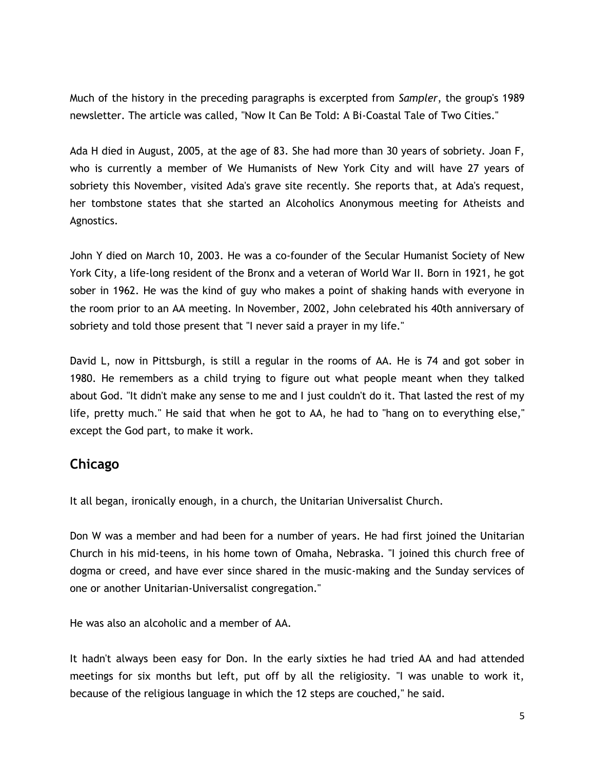Much of the history in the preceding paragraphs is excerpted from *Sampler*, the group's 1989 newsletter. The article was called, "Now It Can Be Told: A Bi-Coastal Tale of Two Cities."

Ada H died in August, 2005, at the age of 83. She had more than 30 years of sobriety. Joan F, who is currently a member of We Humanists of New York City and will have 27 years of sobriety this November, visited Ada's grave site recently. She reports that, at Ada's request, her tombstone states that she started an Alcoholics Anonymous meeting for Atheists and Agnostics.

John Y died on March 10, 2003. He was a co-founder of the Secular Humanist Society of New York City, a life-long resident of the Bronx and a veteran of World War II. Born in 1921, he got sober in 1962. He was the kind of guy who makes a point of shaking hands with everyone in the room prior to an AA meeting. In November, 2002, John celebrated his 40th anniversary of sobriety and told those present that "I never said a prayer in my life."

David L, now in Pittsburgh, is still a regular in the rooms of AA. He is 74 and got sober in 1980. He remembers as a child trying to figure out what people meant when they talked about God. "It didn't make any sense to me and I just couldn't do it. That lasted the rest of my life, pretty much." He said that when he got to AA, he had to "hang on to everything else," except the God part, to make it work.

# **Chicago**

It all began, ironically enough, in a church, the Unitarian Universalist Church.

Don W was a member and had been for a number of years. He had first joined the Unitarian Church in his mid-teens, in his home town of Omaha, Nebraska. "I joined this church free of dogma or creed, and have ever since shared in the music-making and the Sunday services of one or another Unitarian-Universalist congregation."

He was also an alcoholic and a member of AA.

It hadn't always been easy for Don. In the early sixties he had tried AA and had attended meetings for six months but left, put off by all the religiosity. "I was unable to work it, because of the religious language in which the 12 steps are couched," he said.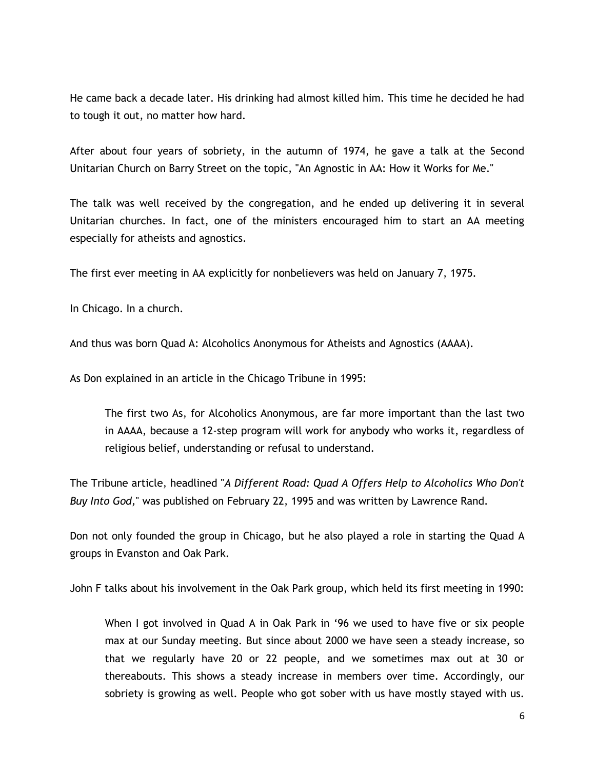He came back a decade later. His drinking had almost killed him. This time he decided he had to tough it out, no matter how hard.

After about four years of sobriety, in the autumn of 1974, he gave a talk at the Second Unitarian Church on Barry Street on the topic, "An Agnostic in AA: How it Works for Me."

The talk was well received by the congregation, and he ended up delivering it in several Unitarian churches. In fact, one of the ministers encouraged him to start an AA meeting especially for atheists and agnostics.

The first ever meeting in AA explicitly for nonbelievers was held on January 7, 1975.

In Chicago. In a church.

And thus was born Quad A: Alcoholics Anonymous for Atheists and Agnostics (AAAA).

As Don explained in an article in the Chicago Tribune in 1995:

The first two As, for Alcoholics Anonymous, are far more important than the last two in AAAA, because a 12-step program will work for anybody who works it, regardless of religious belief, understanding or refusal to understand.

The Tribune article, headlined "*A Different Road: Quad A Offers Help to Alcoholics Who Don't Buy Into God,*" was published on February 22, 1995 and was written by Lawrence Rand.

Don not only founded the group in Chicago, but he also played a role in starting the Quad A groups in Evanston and Oak Park.

John F talks about his involvement in the Oak Park group, which held its first meeting in 1990:

When I got involved in Quad A in Oak Park in '96 we used to have five or six people max at our Sunday meeting. But since about 2000 we have seen a steady increase, so that we regularly have 20 or 22 people, and we sometimes max out at 30 or thereabouts. This shows a steady increase in members over time. Accordingly, our sobriety is growing as well. People who got sober with us have mostly stayed with us.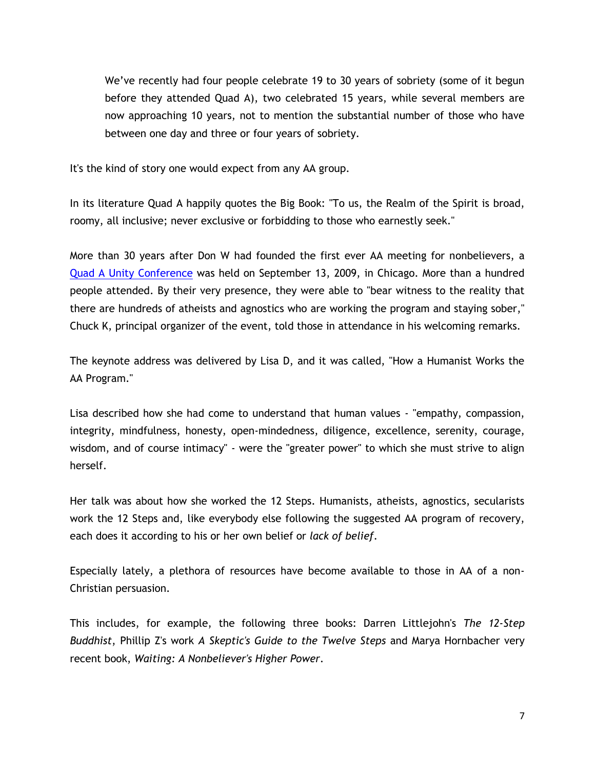We've recently had four people celebrate 19 to 30 years of sobriety (some of it begun before they attended Quad A), two celebrated 15 years, while several members are now approaching 10 years, not to mention the substantial number of those who have between one day and three or four years of sobriety.

It's the kind of story one would expect from any AA group.

In its literature Quad A happily quotes the Big Book: "To us, the Realm of the Spirit is broad, roomy, all inclusive; never exclusive or forbidding to those who earnestly seek."

More than 30 years after Don W had founded the first ever AA meeting for nonbelievers, a [Quad A Unity Conference](http://aatorontoagnostics.files.wordpress.com/2011/09/quad-a-conference-2009.pdf) was held on September 13, 2009, in Chicago. More than a hundred people attended. By their very presence, they were able to "bear witness to the reality that there are hundreds of atheists and agnostics who are working the program and staying sober," Chuck K, principal organizer of the event, told those in attendance in his welcoming remarks.

The keynote address was delivered by Lisa D, and it was called, "How a Humanist Works the AA Program."

Lisa described how she had come to understand that human values - "empathy, compassion, integrity, mindfulness, honesty, open-mindedness, diligence, excellence, serenity, courage, wisdom, and of course intimacy" - were the "greater power" to which she must strive to align herself.

Her talk was about how she worked the 12 Steps. Humanists, atheists, agnostics, secularists work the 12 Steps and, like everybody else following the suggested AA program of recovery, each does it according to his or her own belief or *lack of belief*.

Especially lately, a plethora of resources have become available to those in AA of a non-Christian persuasion.

This includes, for example, the following three books: Darren Littlejohn's *The 12-Step Buddhist*, Phillip Z's work *A Skeptic's Guide to the Twelve Steps* and Marya Hornbacher very recent book, *Waiting: A Nonbeliever's Higher Power*.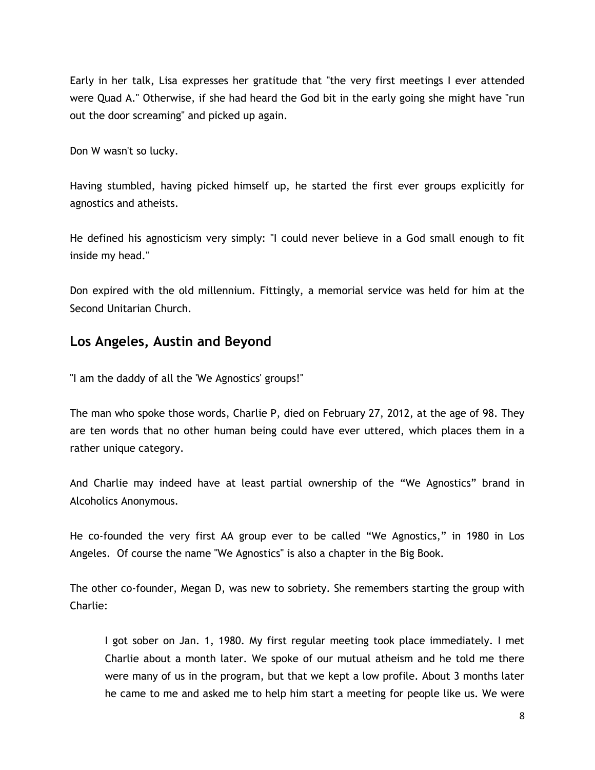Early in her talk, Lisa expresses her gratitude that "the very first meetings I ever attended were Quad A." Otherwise, if she had heard the God bit in the early going she might have "run out the door screaming" and picked up again.

Don W wasn't so lucky.

Having stumbled, having picked himself up, he started the first ever groups explicitly for agnostics and atheists.

He defined his agnosticism very simply: "I could never believe in a God small enough to fit inside my head."

Don expired with the old millennium. Fittingly, a memorial service was held for him at the Second Unitarian Church.

## **Los Angeles, Austin and Beyond**

"I am the daddy of all the 'We Agnostics' groups!"

The man who spoke those words, Charlie P, died on February 27, 2012, at the age of 98. They are ten words that no other human being could have ever uttered, which places them in a rather unique category.

And Charlie may indeed have at least partial ownership of the "We Agnostics" brand in Alcoholics Anonymous.

He co-founded the very first AA group ever to be called "We Agnostics," in 1980 in Los Angeles. Of course the name "We Agnostics" is also a chapter in the Big Book.

The other co-founder, Megan D, was new to sobriety. She remembers starting the group with Charlie:

I got sober on Jan. 1, 1980. My first regular meeting took place immediately. I met Charlie about a month later. We spoke of our mutual atheism and he told me there were many of us in the program, but that we kept a low profile. About 3 months later he came to me and asked me to help him start a meeting for people like us. We were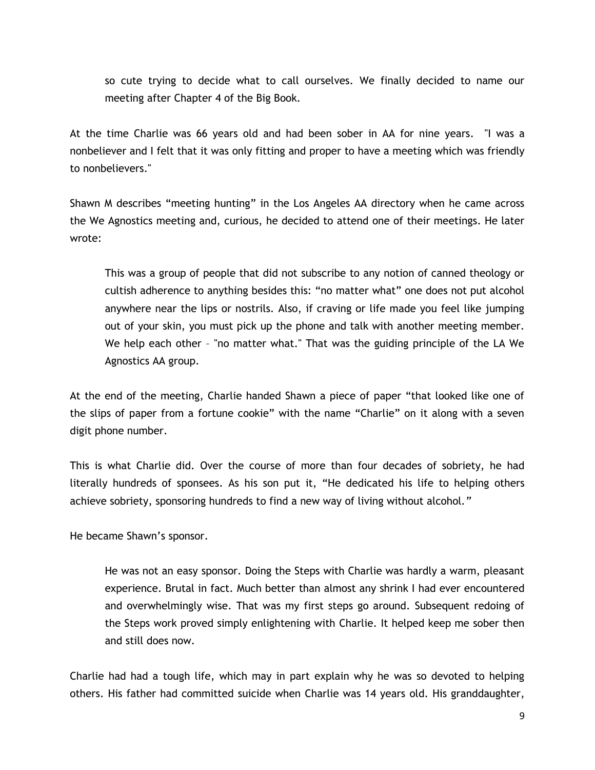so cute trying to decide what to call ourselves. We finally decided to name our meeting after Chapter 4 of the Big Book.

At the time Charlie was 66 years old and had been sober in AA for nine years. "I was a nonbeliever and I felt that it was only fitting and proper to have a meeting which was friendly to nonbelievers."

Shawn M describes "meeting hunting" in the Los Angeles AA directory when he came across the We Agnostics meeting and, curious, he decided to attend one of their meetings. He later wrote:

This was a group of people that did not subscribe to any notion of canned theology or cultish adherence to anything besides this: "no matter what" one does not put alcohol anywhere near the lips or nostrils. Also, if craving or life made you feel like jumping out of your skin, you must pick up the phone and talk with another meeting member. We help each other – "no matter what." That was the guiding principle of the LA We Agnostics AA group.

At the end of the meeting, Charlie handed Shawn a piece of paper "that looked like one of the slips of paper from a fortune cookie" with the name "Charlie" on it along with a seven digit phone number.

This is what Charlie did. Over the course of more than four decades of sobriety, he had literally hundreds of sponsees. As his son put it, "He dedicated his life to helping others achieve sobriety, sponsoring hundreds to find a new way of living without alcohol*."*

He became Shawn's sponsor.

He was not an easy sponsor. Doing the Steps with Charlie was hardly a warm, pleasant experience. Brutal in fact. Much better than almost any shrink I had ever encountered and overwhelmingly wise. That was my first steps go around. Subsequent redoing of the Steps work proved simply enlightening with Charlie. It helped keep me sober then and still does now.

Charlie had had a tough life, which may in part explain why he was so devoted to helping others. His father had committed suicide when Charlie was 14 years old. His granddaughter,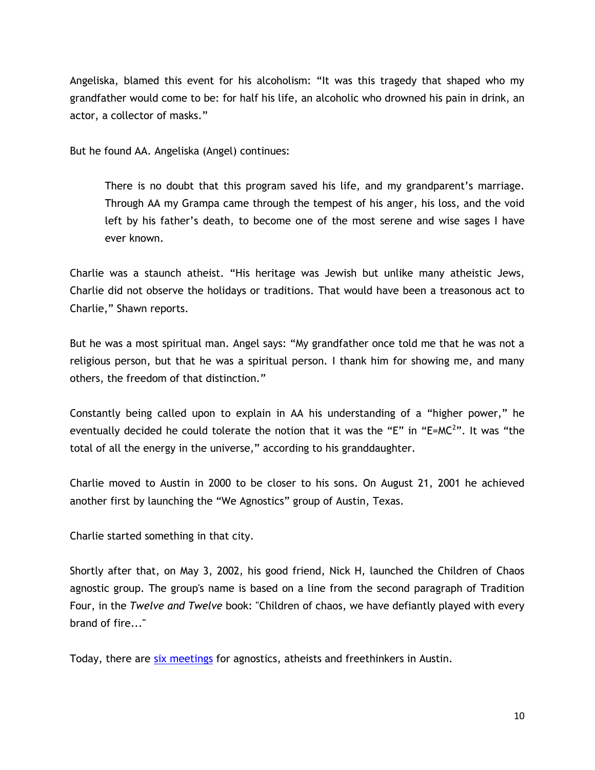Angeliska, blamed this event for his alcoholism: "It was this tragedy that shaped who my grandfather would come to be: for half his life, an alcoholic who drowned his pain in drink, an actor, a collector of masks."

But he found AA. Angeliska (Angel) continues:

There is no doubt that this program saved his life, and my grandparent's marriage. Through AA my Grampa came through the tempest of his anger, his loss, and the void left by his father's death, to become one of the most serene and wise sages I have ever known.

Charlie was a staunch atheist. "His heritage was Jewish but unlike many atheistic Jews, Charlie did not observe the holidays or traditions. That would have been a treasonous act to Charlie," Shawn reports.

But he was a most spiritual man. Angel says: "My grandfather once told me that he was not a religious person, but that he was a spiritual person. I thank him for showing me, and many others, the freedom of that distinction."

Constantly being called upon to explain in AA his understanding of a "higher power," he eventually decided he could tolerate the notion that it was the "E" in "E=MC<sup>2</sup>". It was "the total of all the energy in the universe," according to his granddaughter.

Charlie moved to Austin in 2000 to be closer to his sons. On August 21, 2001 he achieved another first by launching the "We Agnostics" group of Austin, Texas.

Charlie started something in that city.

Shortly after that, on May 3, 2002, his good friend, Nick H, launched the Children of Chaos agnostic group. The group's name is based on a line from the second paragraph of Tradition Four, in the *Twelve and Twelve* book: "Children of chaos, we have defiantly played with every brand of fire..."

Today, there are [six meetings](http://aatorontoagnostics.files.wordpress.com/2011/09/austin-brochure-2011.pdf) for agnostics, atheists and freethinkers in Austin.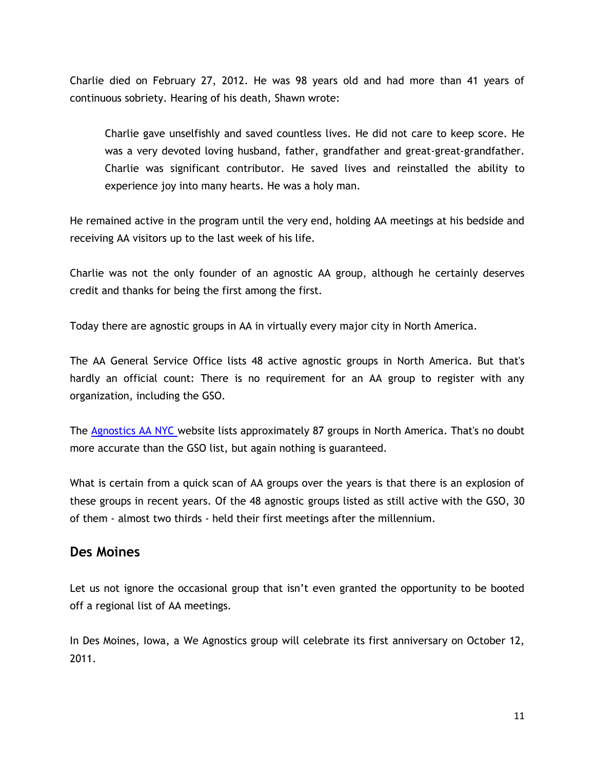Charlie died on February 27, 2012. He was 98 years old and had more than 41 years of continuous sobriety. Hearing of his death, Shawn wrote:

Charlie gave unselfishly and saved countless lives. He did not care to keep score. He was a very devoted loving husband, father, grandfather and great-great-grandfather. Charlie was significant contributor. He saved lives and reinstalled the ability to experience joy into many hearts. He was a holy man.

He remained active in the program until the very end, holding AA meetings at his bedside and receiving AA visitors up to the last week of his life.

Charlie was not the only founder of an agnostic AA group, although he certainly deserves credit and thanks for being the first among the first.

Today there are agnostic groups in AA in virtually every major city in North America.

The AA General Service Office lists 48 active agnostic groups in North America. But that's hardly an official count: There is no requirement for an AA group to register with any organization, including the GSO.

The [Agnostics AA NYC w](http://agnosticaanyc.org/)ebsite lists approximately 87 groups in North America. That's no doubt more accurate than the GSO list, but again nothing is guaranteed.

What is certain from a quick scan of AA groups over the years is that there is an explosion of these groups in recent years. Of the 48 agnostic groups listed as still active with the GSO, 30 of them - almost two thirds - held their first meetings after the millennium.

### **Des Moines**

Let us not ignore the occasional group that isn't even granted the opportunity to be booted off a regional list of AA meetings.

In Des Moines, Iowa, a We Agnostics group will celebrate its first anniversary on October 12, 2011.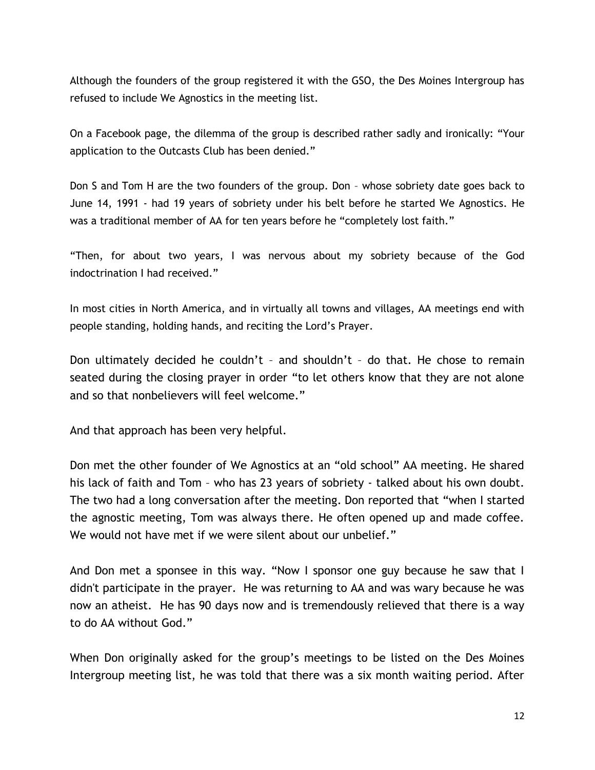Although the founders of the group registered it with the GSO, the Des Moines Intergroup has refused to include We Agnostics in the meeting list.

On a Facebook page, the dilemma of the group is described rather sadly and ironically: "Your application to the Outcasts Club has been denied."

Don S and Tom H are the two founders of the group. Don – whose sobriety date goes back to June 14, 1991 - had 19 years of sobriety under his belt before he started We Agnostics. He was a traditional member of AA for ten years before he "completely lost faith."

"Then, for about two years, I was nervous about my sobriety because of the God indoctrination I had received."

In most cities in North America, and in virtually all towns and villages, AA meetings end with people standing, holding hands, and reciting the Lord's Prayer.

Don ultimately decided he couldn't – and shouldn't – do that. He chose to remain seated during the closing prayer in order "to let others know that they are not alone and so that nonbelievers will feel welcome."

And that approach has been very helpful.

Don met the other founder of We Agnostics at an "old school" AA meeting. He shared his lack of faith and Tom – who has 23 years of sobriety - talked about his own doubt. The two had a long conversation after the meeting. Don reported that "when I started the agnostic meeting, Tom was always there. He often opened up and made coffee. We would not have met if we were silent about our unbelief."

And Don met a sponsee in this way. "Now I sponsor one guy because he saw that I didn't participate in the prayer. He was returning to AA and was wary because he was now an atheist. He has 90 days now and is tremendously relieved that there is a way to do AA without God."

When Don originally asked for the group's meetings to be listed on the Des Moines Intergroup meeting list, he was told that there was a six month waiting period. After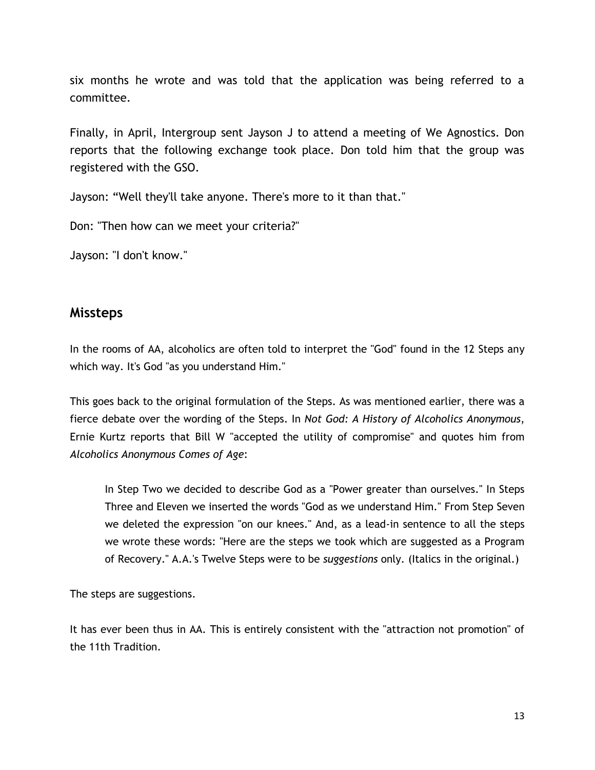six months he wrote and was told that the application was being referred to a committee.

Finally, in April, Intergroup sent Jayson J to attend a meeting of We Agnostics. Don reports that the following exchange took place. Don told him that the group was registered with the GSO.

Jayson: "Well they'll take anyone. There's more to it than that."

Don: "Then how can we meet your criteria?"

Jayson: "I don't know."

### **Missteps**

In the rooms of AA, alcoholics are often told to interpret the "God" found in the 12 Steps any which way. It's God "as you understand Him."

This goes back to the original formulation of the Steps. As was mentioned earlier, there was a fierce debate over the wording of the Steps. In *Not God: A History of Alcoholics Anonymous*, Ernie Kurtz reports that Bill W "accepted the utility of compromise" and quotes him from *Alcoholics Anonymous Comes of Age*:

In Step Two we decided to describe God as a "Power greater than ourselves." In Steps Three and Eleven we inserted the words "God as we understand Him." From Step Seven we deleted the expression "on our knees." And, as a lead-in sentence to all the steps we wrote these words: "Here are the steps we took which are suggested as a Program of Recovery." A.A.'s Twelve Steps were to be *suggestions* only. (Italics in the original.)

The steps are suggestions.

It has ever been thus in AA. This is entirely consistent with the "attraction not promotion" of the 11th Tradition.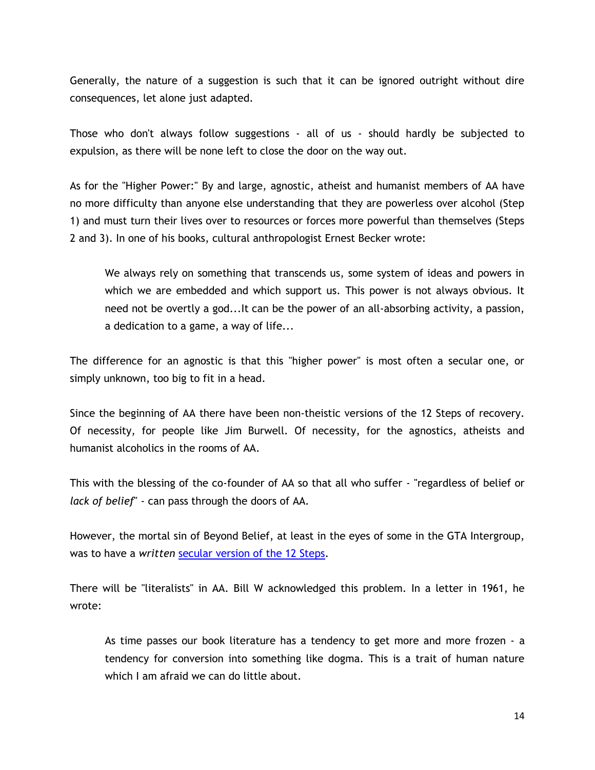Generally, the nature of a suggestion is such that it can be ignored outright without dire consequences, let alone just adapted.

Those who don't always follow suggestions - all of us - should hardly be subjected to expulsion, as there will be none left to close the door on the way out.

As for the "Higher Power:" By and large, agnostic, atheist and humanist members of AA have no more difficulty than anyone else understanding that they are powerless over alcohol (Step 1) and must turn their lives over to resources or forces more powerful than themselves (Steps 2 and 3). In one of his books, cultural anthropologist Ernest Becker wrote:

We always rely on something that transcends us, some system of ideas and powers in which we are embedded and which support us. This power is not always obvious. It need not be overtly a god...It can be the power of an all-absorbing activity, a passion, a dedication to a game, a way of life...

The difference for an agnostic is that this "higher power" is most often a secular one, or simply unknown, too big to fit in a head.

Since the beginning of AA there have been non-theistic versions of the 12 Steps of recovery. Of necessity, for people like Jim Burwell. Of necessity, for the agnostics, atheists and humanist alcoholics in the rooms of AA.

This with the blessing of the co-founder of AA so that all who suffer - "regardless of belief or *lack of belief*" - can pass through the doors of AA.

However, the mortal sin of Beyond Belief, at least in the eyes of some in the GTA Intergroup, was to have a *written* [secular version of the 12 Steps.](http://aatorontoagnostics.files.wordpress.com/2011/08/a-secular-version-of-the-12-steps.pdf)

There will be "literalists" in AA. Bill W acknowledged this problem. In a letter in 1961, he wrote:

As time passes our book literature has a tendency to get more and more frozen - a tendency for conversion into something like dogma. This is a trait of human nature which I am afraid we can do little about.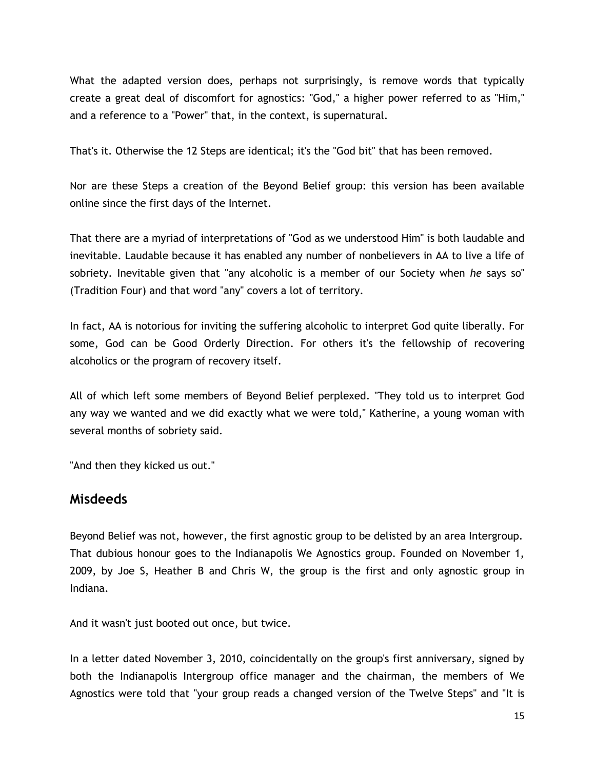What the adapted version does, perhaps not surprisingly, is remove words that typically create a great deal of discomfort for agnostics: "God," a higher power referred to as "Him," and a reference to a "Power" that, in the context, is supernatural.

That's it. Otherwise the 12 Steps are identical; it's the "God bit" that has been removed.

Nor are these Steps a creation of the Beyond Belief group: this version has been available online since the first days of the Internet.

That there are a myriad of interpretations of "God as we understood Him" is both laudable and inevitable. Laudable because it has enabled any number of nonbelievers in AA to live a life of sobriety. Inevitable given that "any alcoholic is a member of our Society when *he* says so" (Tradition Four) and that word "any" covers a lot of territory.

In fact, AA is notorious for inviting the suffering alcoholic to interpret God quite liberally. For some, God can be Good Orderly Direction. For others it's the fellowship of recovering alcoholics or the program of recovery itself.

All of which left some members of Beyond Belief perplexed. "They told us to interpret God any way we wanted and we did exactly what we were told," Katherine, a young woman with several months of sobriety said.

"And then they kicked us out."

### **Misdeeds**

Beyond Belief was not, however, the first agnostic group to be delisted by an area Intergroup. That dubious honour goes to the Indianapolis We Agnostics group. Founded on November 1, 2009, by Joe S, Heather B and Chris W, the group is the first and only agnostic group in Indiana.

And it wasn't just booted out once, but twice.

In a letter dated November 3, 2010, coincidentally on the group's first anniversary, signed by both the Indianapolis Intergroup office manager and the chairman, the members of We Agnostics were told that "your group reads a changed version of the Twelve Steps" and "It is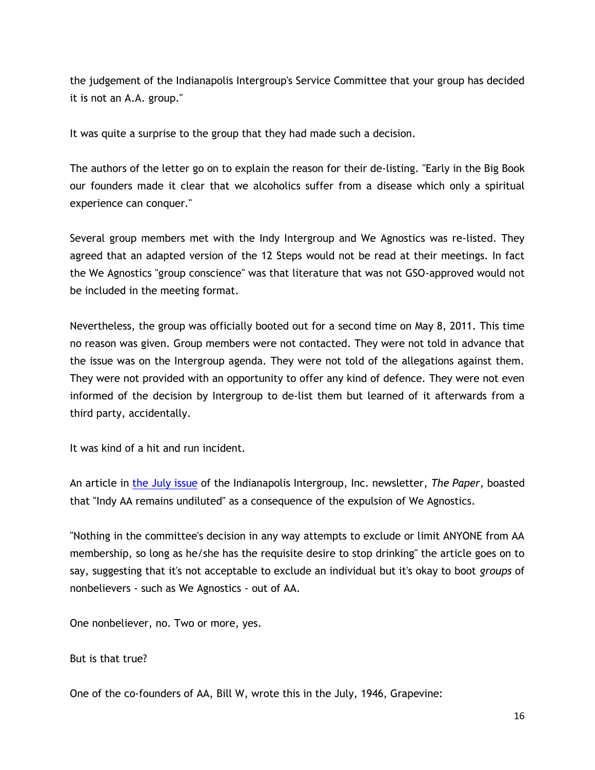the judgement of the Indianapolis Intergroup's Service Committee that your group has decided it is not an A.A. group."

It was quite a surprise to the group that they had made such a decision.

The authors of the letter go on to explain the reason for their de-listing. "Early in the Big Book our founders made it clear that we alcoholics suffer from a disease which only a spiritual experience can conquer."

Several group members met with the Indy Intergroup and We Agnostics was re-listed. They agreed that an adapted version of the 12 Steps would not be read at their meetings. In fact the We Agnostics "group conscience" was that literature that was not GSO-approved would not be included in the meeting format.

Nevertheless, the group was officially booted out for a second time on May 8, 2011. This time no reason was given. Group members were not contacted. They were not told in advance that the issue was on the Intergroup agenda. They were not told of the allegations against them. They were not provided with an opportunity to offer any kind of defence. They were not even informed of the decision by Intergroup to de-list them but learned of it afterwards from a third party, accidentally.

It was kind of a hit and run incident.

An article in [the July issue](http://aatorontoagnostics.files.wordpress.com/2011/09/the-paper-july-2011.pdf) of the Indianapolis Intergroup, Inc. newsletter, *The Paper*, boasted that "Indy AA remains undiluted" as a consequence of the expulsion of We Agnostics.

"Nothing in the committee's decision in any way attempts to exclude or limit ANYONE from AA membership, so long as he/she has the requisite desire to stop drinking" the article goes on to say, suggesting that it's not acceptable to exclude an individual but it's okay to boot *groups* of nonbelievers - such as We Agnostics - out of AA.

One nonbeliever, no. Two or more, yes.

But is that true?

One of the co-founders of AA, Bill W, wrote this in the July, 1946, Grapevine: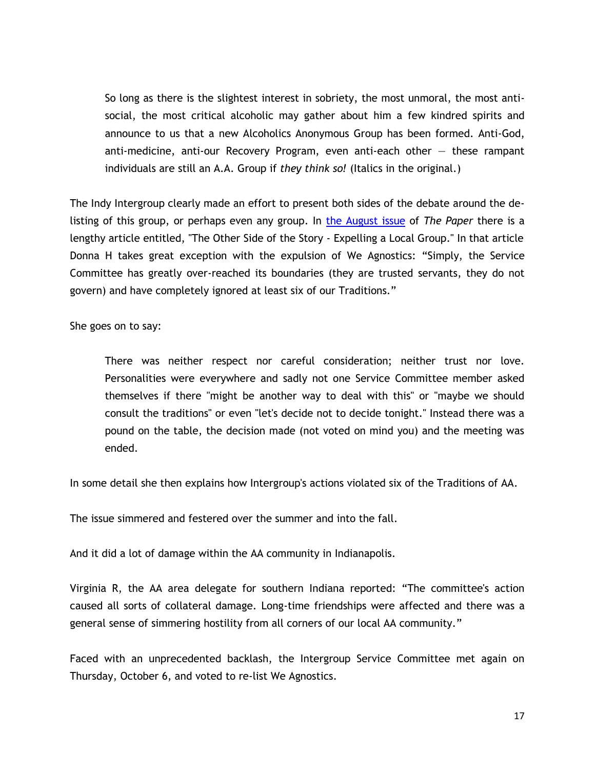So long as there is the slightest interest in sobriety, the most unmoral, the most antisocial, the most critical alcoholic may gather about him a few kindred spirits and announce to us that a new Alcoholics Anonymous Group has been formed. Anti-God, anti-medicine, anti-our Recovery Program, even anti-each other — these rampant individuals are still an A.A. Group if *they think so!* (Italics in the original.)

The Indy Intergroup clearly made an effort to present both sides of the debate around the delisting of this group, or perhaps even any group. In [the August issue](http://aatorontoagnostics.files.wordpress.com/2011/09/the-paper-august-2011.pdf) of *The Paper* there is a lengthy article entitled, "The Other Side of the Story - Expelling a Local Group." In that article Donna H takes great exception with the expulsion of We Agnostics: "Simply, the Service Committee has greatly over-reached its boundaries (they are trusted servants, they do not govern) and have completely ignored at least six of our Traditions."

She goes on to say:

There was neither respect nor careful consideration; neither trust nor love. Personalities were everywhere and sadly not one Service Committee member asked themselves if there "might be another way to deal with this" or "maybe we should consult the traditions" or even "let's decide not to decide tonight." Instead there was a pound on the table, the decision made (not voted on mind you) and the meeting was ended.

In some detail she then explains how Intergroup's actions violated six of the Traditions of AA.

The issue simmered and festered over the summer and into the fall.

And it did a lot of damage within the AA community in Indianapolis.

Virginia R, the AA area delegate for southern Indiana reported: "The committee's action caused all sorts of collateral damage. Long-time friendships were affected and there was a general sense of simmering hostility from all corners of our local AA community."

Faced with an unprecedented backlash, the Intergroup Service Committee met again on Thursday, October 6, and voted to re-list We Agnostics.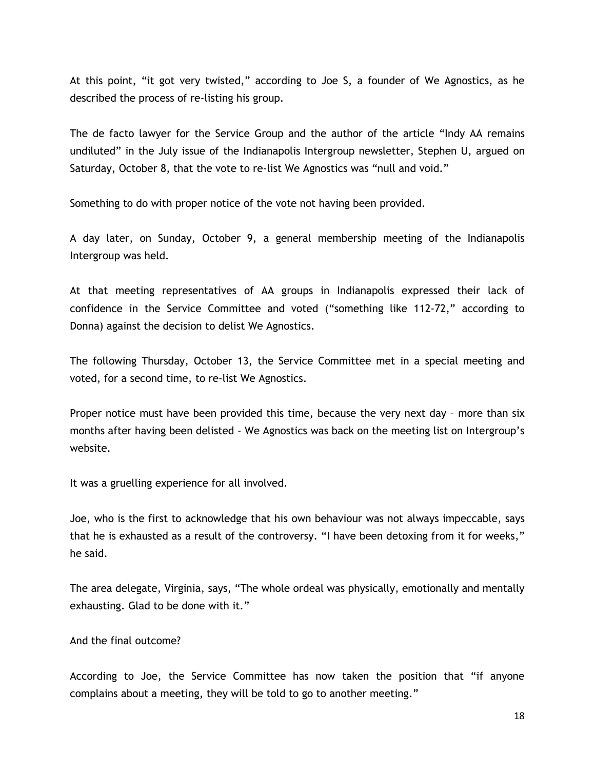At this point, "it got very twisted," according to Joe S, a founder of We Agnostics, as he described the process of re-listing his group.

The de facto lawyer for the Service Group and the author of the article "Indy AA remains undiluted" in the July issue of the Indianapolis Intergroup newsletter, Stephen U, argued on Saturday, October 8, that the vote to re-list We Agnostics was "null and void."

Something to do with proper notice of the vote not having been provided.

A day later, on Sunday, October 9, a general membership meeting of the Indianapolis Intergroup was held.

At that meeting representatives of AA groups in Indianapolis expressed their lack of confidence in the Service Committee and voted ("something like 112-72," according to Donna) against the decision to delist We Agnostics.

The following Thursday, October 13, the Service Committee met in a special meeting and voted, for a second time, to re-list We Agnostics.

Proper notice must have been provided this time, because the very next day – more than six months after having been delisted - We Agnostics was back on the meeting list on Intergroup's website.

It was a gruelling experience for all involved.

Joe, who is the first to acknowledge that his own behaviour was not always impeccable, says that he is exhausted as a result of the controversy. "I have been detoxing from it for weeks," he said.

The area delegate, Virginia, says, "The whole ordeal was physically, emotionally and mentally exhausting. Glad to be done with it."

#### And the final outcome?

According to Joe, the Service Committee has now taken the position that "if anyone complains about a meeting, they will be told to go to another meeting."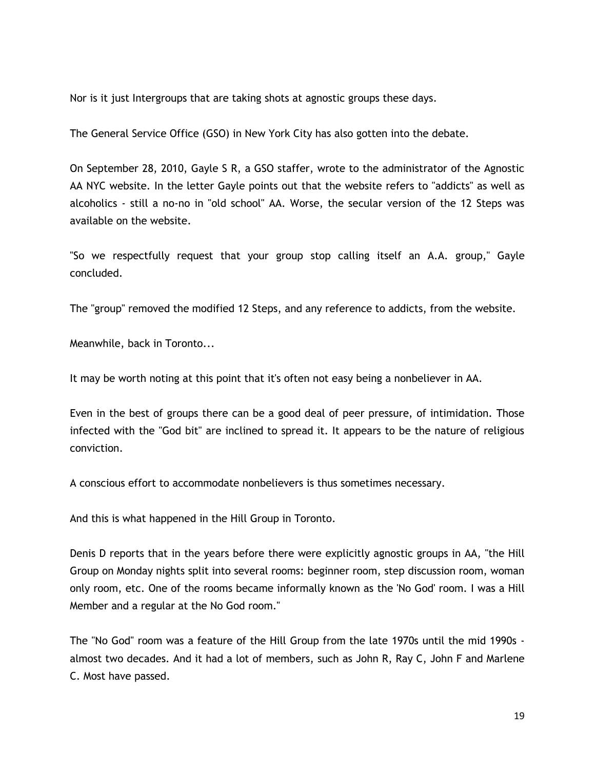Nor is it just Intergroups that are taking shots at agnostic groups these days.

The General Service Office (GSO) in New York City has also gotten into the debate.

On September 28, 2010, Gayle S R, a GSO staffer, wrote to the administrator of the Agnostic AA NYC website. In the letter Gayle points out that the website refers to "addicts" as well as alcoholics - still a no-no in "old school" AA. Worse, the secular version of the 12 Steps was available on the website.

"So we respectfully request that your group stop calling itself an A.A. group," Gayle concluded.

The "group" removed the modified 12 Steps, and any reference to addicts, from the website.

Meanwhile, back in Toronto...

It may be worth noting at this point that it's often not easy being a nonbeliever in AA.

Even in the best of groups there can be a good deal of peer pressure, of intimidation. Those infected with the "God bit" are inclined to spread it. It appears to be the nature of religious conviction.

A conscious effort to accommodate nonbelievers is thus sometimes necessary.

And this is what happened in the Hill Group in Toronto.

Denis D reports that in the years before there were explicitly agnostic groups in AA, "the Hill Group on Monday nights split into several rooms: beginner room, step discussion room, woman only room, etc. One of the rooms became informally known as the 'No God' room. I was a Hill Member and a regular at the No God room."

The "No God" room was a feature of the Hill Group from the late 1970s until the mid 1990s almost two decades. And it had a lot of members, such as John R, Ray C, John F and Marlene C. Most have passed.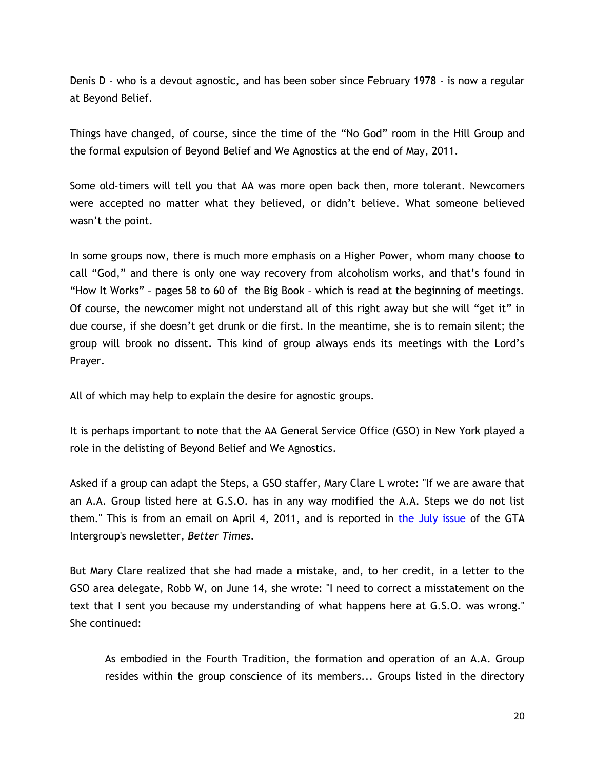Denis D - who is a devout agnostic, and has been sober since February 1978 - is now a regular at Beyond Belief.

Things have changed, of course, since the time of the "No God" room in the Hill Group and the formal expulsion of Beyond Belief and We Agnostics at the end of May, 2011.

Some old-timers will tell you that AA was more open back then, more tolerant. Newcomers were accepted no matter what they believed, or didn't believe. What someone believed wasn't the point.

In some groups now, there is much more emphasis on a Higher Power, whom many choose to call "God," and there is only one way recovery from alcoholism works, and that's found in "How It Works" – pages 58 to 60 of the Big Book – which is read at the beginning of meetings. Of course, the newcomer might not understand all of this right away but she will "get it" in due course, if she doesn't get drunk or die first. In the meantime, she is to remain silent; the group will brook no dissent. This kind of group always ends its meetings with the Lord's Prayer.

All of which may help to explain the desire for agnostic groups.

It is perhaps important to note that the AA General Service Office (GSO) in New York played a role in the delisting of Beyond Belief and We Agnostics.

Asked if a group can adapt the Steps, a GSO staffer, Mary Clare L wrote: "If we are aware that an A.A. Group listed here at G.S.O. has in any way modified the A.A. Steps we do not list them." This is from an email on April 4, 2011, and is reported in [the July issue](http://aatorontoagnostics.files.wordpress.com/2011/09/better-times-july-2011.pdf) of the GTA Intergroup's newsletter, *Better Times*.

But Mary Clare realized that she had made a mistake, and, to her credit, in a letter to the GSO area delegate, Robb W, on June 14, she wrote: "I need to correct a misstatement on the text that I sent you because my understanding of what happens here at G.S.O. was wrong." She continued:

As embodied in the Fourth Tradition, the formation and operation of an A.A. Group resides within the group conscience of its members... Groups listed in the directory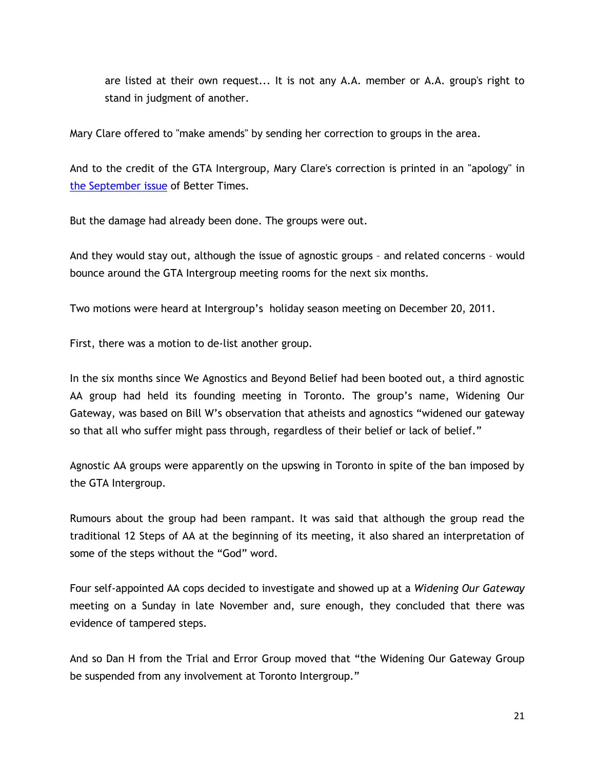are listed at their own request... It is not any A.A. member or A.A. group's right to stand in judgment of another.

Mary Clare offered to "make amends" by sending her correction to groups in the area.

And to the credit of the GTA Intergroup, Mary Clare's correction is printed in an "apology" in [the September issue](http://aatorontoagnostics.files.wordpress.com/2011/09/better-times-sept-2011.pdf) of Better Times.

But the damage had already been done. The groups were out.

And they would stay out, although the issue of agnostic groups – and related concerns – would bounce around the GTA Intergroup meeting rooms for the next six months.

Two motions were heard at Intergroup's holiday season meeting on December 20, 2011.

First, there was a motion to de-list another group.

In the six months since We Agnostics and Beyond Belief had been booted out, a third agnostic AA group had held its founding meeting in Toronto. The group's name, Widening Our Gateway, was based on Bill W's observation that atheists and agnostics "widened our gateway so that all who suffer might pass through, regardless of their belief or lack of belief."

Agnostic AA groups were apparently on the upswing in Toronto in spite of the ban imposed by the GTA Intergroup.

Rumours about the group had been rampant. It was said that although the group read the traditional 12 Steps of AA at the beginning of its meeting, it also shared an interpretation of some of the steps without the "God" word.

Four self-appointed AA cops decided to investigate and showed up at a *Widening Our Gateway* meeting on a Sunday in late November and, sure enough, they concluded that there was evidence of tampered steps.

And so Dan H from the Trial and Error Group moved that "the Widening Our Gateway Group be suspended from any involvement at Toronto Intergroup."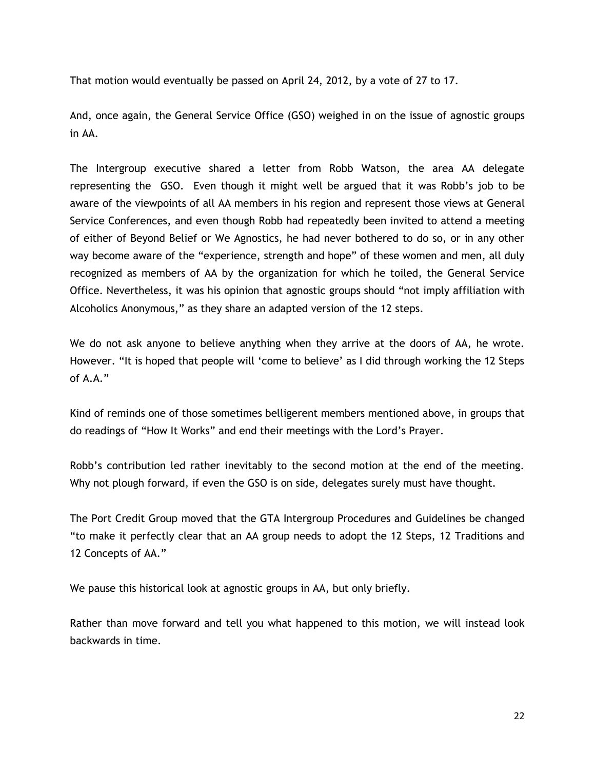That motion would eventually be passed on April 24, 2012, by a vote of 27 to 17.

And, once again, the General Service Office (GSO) weighed in on the issue of agnostic groups in AA.

The Intergroup executive shared a letter from Robb Watson, the area AA delegate representing the GSO. Even though it might well be argued that it was Robb's job to be aware of the viewpoints of all AA members in his region and represent those views at General Service Conferences, and even though Robb had repeatedly been invited to attend a meeting of either of Beyond Belief or We Agnostics, he had never bothered to do so, or in any other way become aware of the "experience, strength and hope" of these women and men, all duly recognized as members of AA by the organization for which he toiled, the General Service Office. Nevertheless, it was his opinion that agnostic groups should "not imply affiliation with Alcoholics Anonymous," as they share an adapted version of the 12 steps.

We do not ask anyone to believe anything when they arrive at the doors of AA, he wrote. However. "It is hoped that people will 'come to believe' as I did through working the 12 Steps of A.A."

Kind of reminds one of those sometimes belligerent members mentioned above, in groups that do readings of "How It Works" and end their meetings with the Lord's Prayer.

Robb's contribution led rather inevitably to the second motion at the end of the meeting. Why not plough forward, if even the GSO is on side, delegates surely must have thought.

The Port Credit Group moved that the GTA Intergroup Procedures and Guidelines be changed "to make it perfectly clear that an AA group needs to adopt the 12 Steps, 12 Traditions and 12 Concepts of AA."

We pause this historical look at agnostic groups in AA, but only briefly.

Rather than move forward and tell you what happened to this motion, we will instead look backwards in time.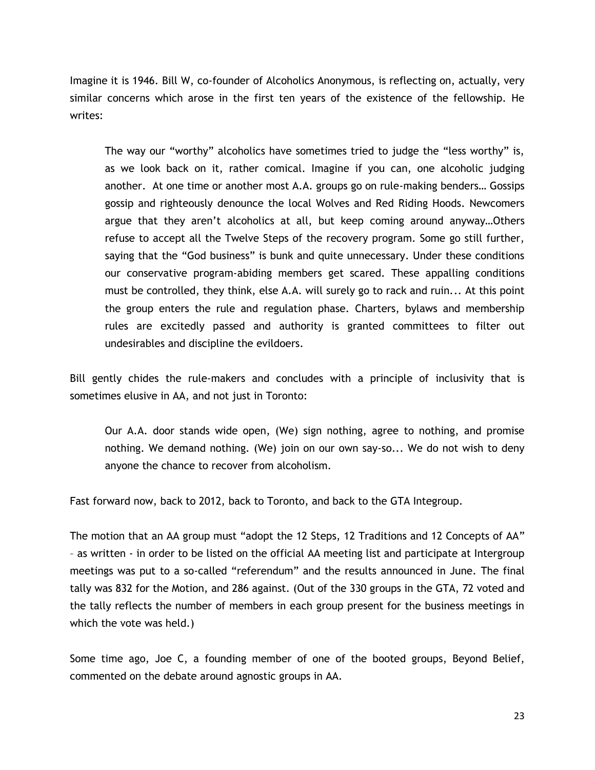Imagine it is 1946. Bill W, co-founder of Alcoholics Anonymous, is reflecting on, actually, very similar concerns which arose in the first ten years of the existence of the fellowship. He writes:

The way our "worthy" alcoholics have sometimes tried to judge the "less worthy" is, as we look back on it, rather comical. Imagine if you can, one alcoholic judging another. At one time or another most A.A. groups go on rule-making benders… Gossips gossip and righteously denounce the local Wolves and Red Riding Hoods. Newcomers argue that they aren't alcoholics at all, but keep coming around anyway…Others refuse to accept all the Twelve Steps of the recovery program. Some go still further, saying that the "God business" is bunk and quite unnecessary. Under these conditions our conservative program-abiding members get scared. These appalling conditions must be controlled, they think, else A.A. will surely go to rack and ruin... At this point the group enters the rule and regulation phase. Charters, bylaws and membership rules are excitedly passed and authority is granted committees to filter out undesirables and discipline the evildoers.

Bill gently chides the rule-makers and concludes with a principle of inclusivity that is sometimes elusive in AA, and not just in Toronto:

Our A.A. door stands wide open, (We) sign nothing, agree to nothing, and promise nothing. We demand nothing. (We) join on our own say-so... We do not wish to deny anyone the chance to recover from alcoholism.

Fast forward now, back to 2012, back to Toronto, and back to the GTA Integroup.

The motion that an AA group must "adopt the 12 Steps, 12 Traditions and 12 Concepts of AA" – as written - in order to be listed on the official AA meeting list and participate at Intergroup meetings was put to a so-called "referendum" and the results announced in June. The final tally was 832 for the Motion, and 286 against. (Out of the 330 groups in the GTA, 72 voted and the tally reflects the number of members in each group present for the business meetings in which the vote was held.)

Some time ago, Joe C, a founding member of one of the booted groups, Beyond Belief, commented on the debate around agnostic groups in AA.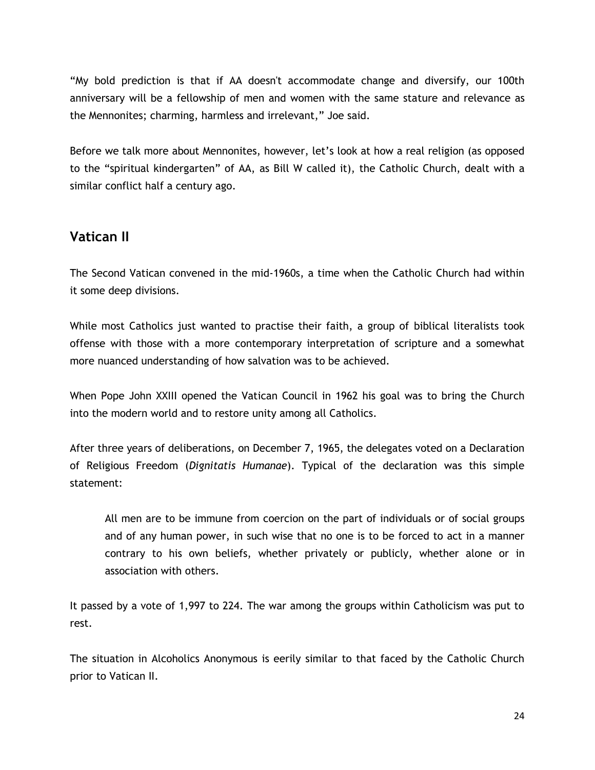"My bold prediction is that if AA doesn't accommodate change and diversify, our 100th anniversary will be a fellowship of men and women with the same stature and relevance as the Mennonites; charming, harmless and irrelevant," Joe said.

Before we talk more about Mennonites, however, let's look at how a real religion (as opposed to the "spiritual kindergarten" of AA, as Bill W called it), the Catholic Church, dealt with a similar conflict half a century ago.

## **Vatican II**

The Second Vatican convened in the mid-1960s, a time when the Catholic Church had within it some deep divisions.

While most Catholics just wanted to practise their faith, a group of biblical literalists took offense with those with a more contemporary interpretation of scripture and a somewhat more nuanced understanding of how salvation was to be achieved.

When Pope John XXIII opened the Vatican Council in 1962 his goal was to bring the Church into the modern world and to restore unity among all Catholics.

After three years of deliberations, on December 7, 1965, the delegates voted on a Declaration of Religious Freedom (*Dignitatis Humanae*). Typical of the declaration was this simple statement:

All men are to be immune from coercion on the part of individuals or of social groups and of any human power, in such wise that no one is to be forced to act in a manner contrary to his own beliefs, whether privately or publicly, whether alone or in association with others.

It passed by a vote of 1,997 to 224. The war among the groups within Catholicism was put to rest.

The situation in Alcoholics Anonymous is eerily similar to that faced by the Catholic Church prior to Vatican II.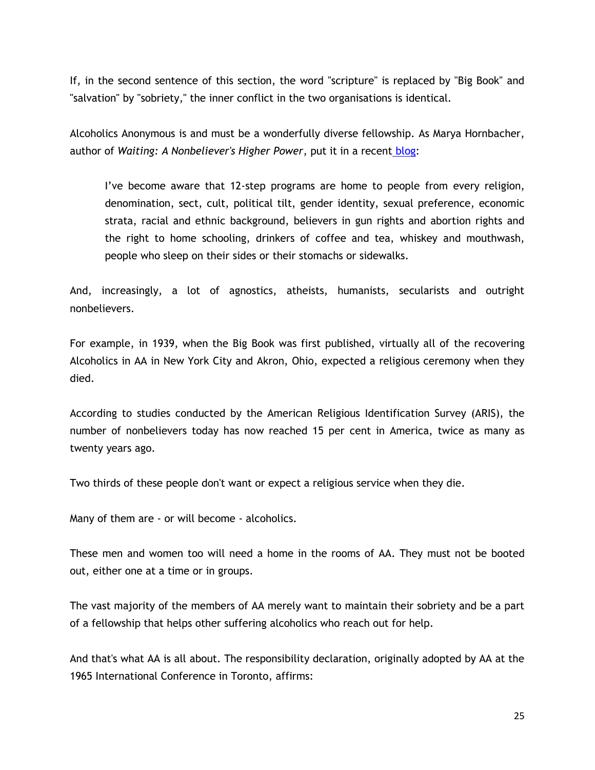If, in the second sentence of this section, the word "scripture" is replaced by "Big Book" and "salvation" by "sobriety," the inner conflict in the two organisations is identical.

Alcoholics Anonymous is and must be a wonderfully diverse fellowship. As Marya Hornbacher, author of *Waiting: A Nonbeliever's Higher Power*, put it in a recent [blog:](http://aatorontoagnostics.org/2011/08/31/my-faithlessness-the-atheist-way-through-aa/)

I've become aware that 12-step programs are home to people from every religion, denomination, sect, cult, political tilt, gender identity, sexual preference, economic strata, racial and ethnic background, believers in gun rights and abortion rights and the right to home schooling, drinkers of coffee and tea, whiskey and mouthwash, people who sleep on their sides or their stomachs or sidewalks.

And, increasingly, a lot of agnostics, atheists, humanists, secularists and outright nonbelievers.

For example, in 1939, when the Big Book was first published, virtually all of the recovering Alcoholics in AA in New York City and Akron, Ohio, expected a religious ceremony when they died.

According to studies conducted by the American Religious Identification Survey (ARIS), the number of nonbelievers today has now reached 15 per cent in America, twice as many as twenty years ago.

Two thirds of these people don't want or expect a religious service when they die.

Many of them are - or will become - alcoholics.

These men and women too will need a home in the rooms of AA. They must not be booted out, either one at a time or in groups.

The vast majority of the members of AA merely want to maintain their sobriety and be a part of a fellowship that helps other suffering alcoholics who reach out for help.

And that's what AA is all about. The responsibility declaration, originally adopted by AA at the 1965 International Conference in Toronto, affirms: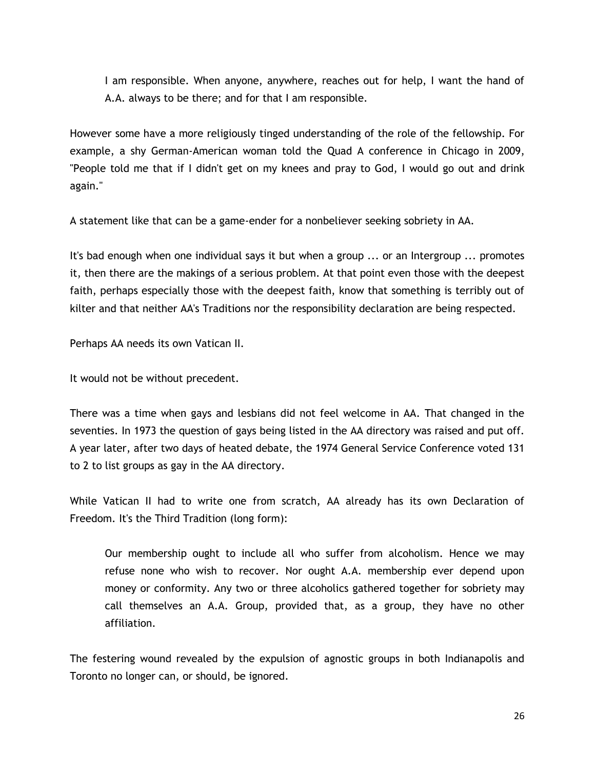I am responsible. When anyone, anywhere, reaches out for help, I want the hand of A.A. always to be there; and for that I am responsible.

However some have a more religiously tinged understanding of the role of the fellowship. For example, a shy German-American woman told the Quad A conference in Chicago in 2009, "People told me that if I didn't get on my knees and pray to God, I would go out and drink again."

A statement like that can be a game-ender for a nonbeliever seeking sobriety in AA.

It's bad enough when one individual says it but when a group ... or an Intergroup ... promotes it, then there are the makings of a serious problem. At that point even those with the deepest faith, perhaps especially those with the deepest faith, know that something is terribly out of kilter and that neither AA's Traditions nor the responsibility declaration are being respected.

Perhaps AA needs its own Vatican II.

It would not be without precedent.

There was a time when gays and lesbians did not feel welcome in AA. That changed in the seventies. In 1973 the question of gays being listed in the AA directory was raised and put off. A year later, after two days of heated debate, the 1974 General Service Conference voted 131 to 2 to list groups as gay in the AA directory.

While Vatican II had to write one from scratch, AA already has its own Declaration of Freedom. It's the Third Tradition (long form):

Our membership ought to include all who suffer from alcoholism. Hence we may refuse none who wish to recover. Nor ought A.A. membership ever depend upon money or conformity. Any two or three alcoholics gathered together for sobriety may call themselves an A.A. Group, provided that, as a group, they have no other affiliation.

The festering wound revealed by the expulsion of agnostic groups in both Indianapolis and Toronto no longer can, or should, be ignored.